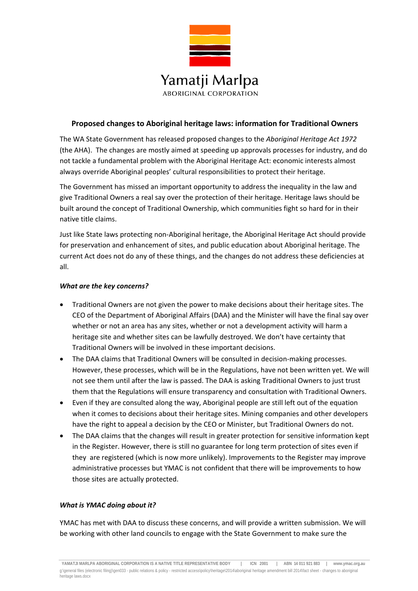

# **Proposed changes to Aboriginal heritage laws: information for Traditional Owners**

The WA State Government has released proposed changes to the *Aboriginal Heritage Act 1972* (the AHA). The changes are mostly aimed at speeding up approvals processes for industry, and do not tackle a fundamental problem with the Aboriginal Heritage Act: economic interests almost always override Aboriginal peoples' cultural responsibilities to protect their heritage.

The Government has missed an important opportunity to address the inequality in the law and give Traditional Owners a real say over the protection of their heritage. Heritage laws should be built around the concept of Traditional Ownership, which communities fight so hard for in their native title claims.

Just like State laws protecting non‐Aboriginal heritage, the Aboriginal Heritage Act should provide for preservation and enhancement of sites, and public education about Aboriginal heritage. The current Act does not do any of these things, and the changes do not address these deficiencies at all.

## *What are the key concerns?*

- Traditional Owners are not given the power to make decisions about their heritage sites. The CEO of the Department of Aboriginal Affairs (DAA) and the Minister will have the final say over whether or not an area has any sites, whether or not a development activity will harm a heritage site and whether sites can be lawfully destroyed. We don't have certainty that Traditional Owners will be involved in these important decisions.
- The DAA claims that Traditional Owners will be consulted in decision-making processes. However, these processes, which will be in the Regulations, have not been written yet. We will not see them until after the law is passed. The DAA is asking Traditional Owners to just trust them that the Regulations will ensure transparency and consultation with Traditional Owners.
- Even if they are consulted along the way, Aboriginal people are still left out of the equation when it comes to decisions about their heritage sites. Mining companies and other developers have the right to appeal a decision by the CEO or Minister, but Traditional Owners do not.
- The DAA claims that the changes will result in greater protection for sensitive information kept in the Register. However, there is still no guarantee for long term protection of sites even if they are registered (which is now more unlikely). Improvements to the Register may improve administrative processes but YMAC is not confident that there will be improvements to how those sites are actually protected.

## *What is YMAC doing about it?*

YMAC has met with DAA to discuss these concerns, and will provide a written submission. We will be working with other land councils to engage with the State Government to make sure the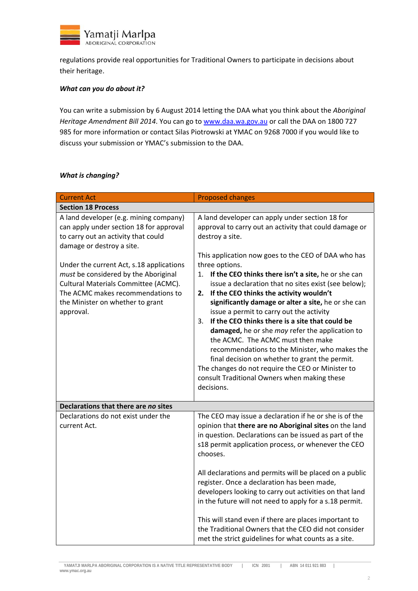

regulations provide real opportunities for Traditional Owners to participate in decisions about their heritage.

#### *What can you do about it?*

You can write a submission by 6 August 2014 letting the DAA what you think about the *Aboriginal Heritage Amendment Bill 2014*. You can go to www.daa.wa.gov.au or call the DAA on 1800 727 985 for more information or contact Silas Piotrowski at YMAC on 9268 7000 if you would like to discuss your submission or YMAC's submission to the DAA.

#### *What is changing?*

| <b>Current Act</b>                                                                                                                                                                                             | <b>Proposed changes</b>                                                                                                                                                                                                                                                                                                                                                                                                                                                                                                                                                                                                                                         |
|----------------------------------------------------------------------------------------------------------------------------------------------------------------------------------------------------------------|-----------------------------------------------------------------------------------------------------------------------------------------------------------------------------------------------------------------------------------------------------------------------------------------------------------------------------------------------------------------------------------------------------------------------------------------------------------------------------------------------------------------------------------------------------------------------------------------------------------------------------------------------------------------|
| <b>Section 18 Process</b>                                                                                                                                                                                      |                                                                                                                                                                                                                                                                                                                                                                                                                                                                                                                                                                                                                                                                 |
| A land developer (e.g. mining company)<br>can apply under section 18 for approval<br>to carry out an activity that could<br>damage or destroy a site.                                                          | A land developer can apply under section 18 for<br>approval to carry out an activity that could damage or<br>destroy a site.<br>This application now goes to the CEO of DAA who has                                                                                                                                                                                                                                                                                                                                                                                                                                                                             |
| Under the current Act, s.18 applications<br>must be considered by the Aboriginal<br>Cultural Materials Committee (ACMC).<br>The ACMC makes recommendations to<br>the Minister on whether to grant<br>approval. | three options.<br>If the CEO thinks there isn't a site, he or she can<br>1.<br>issue a declaration that no sites exist (see below);<br>If the CEO thinks the activity wouldn't<br>2.<br>significantly damage or alter a site, he or she can<br>issue a permit to carry out the activity<br>If the CEO thinks there is a site that could be<br>3.<br>damaged, he or she may refer the application to<br>the ACMC. The ACMC must then make<br>recommendations to the Minister, who makes the<br>final decision on whether to grant the permit.<br>The changes do not require the CEO or Minister to<br>consult Traditional Owners when making these<br>decisions. |
| Declarations that there are no sites                                                                                                                                                                           |                                                                                                                                                                                                                                                                                                                                                                                                                                                                                                                                                                                                                                                                 |
| Declarations do not exist under the<br>current Act.                                                                                                                                                            | The CEO may issue a declaration if he or she is of the<br>opinion that there are no Aboriginal sites on the land<br>in question. Declarations can be issued as part of the<br>s18 permit application process, or whenever the CEO<br>chooses.                                                                                                                                                                                                                                                                                                                                                                                                                   |
|                                                                                                                                                                                                                | All declarations and permits will be placed on a public<br>register. Once a declaration has been made,<br>developers looking to carry out activities on that land<br>in the future will not need to apply for a s.18 permit.                                                                                                                                                                                                                                                                                                                                                                                                                                    |
|                                                                                                                                                                                                                | This will stand even if there are places important to<br>the Traditional Owners that the CEO did not consider<br>met the strict guidelines for what counts as a site.                                                                                                                                                                                                                                                                                                                                                                                                                                                                                           |